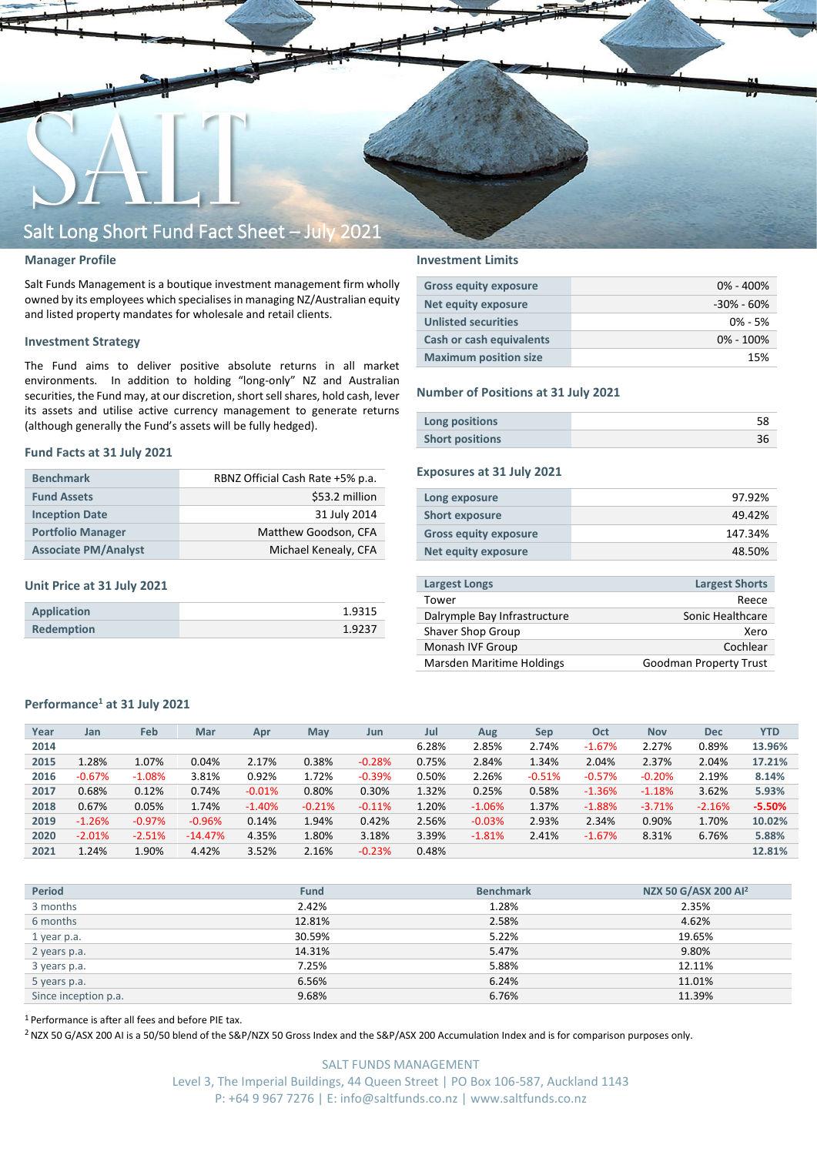

### **Manager Profile**

Salt Funds Management is a boutique investment management firm wholly owned by its employees which specialisesin managing NZ/Australian equity and listed property mandates for wholesale and retail clients.

### **Investment Strategy**

The Fund aims to deliver positive absolute returns in all market environments. In addition to holding "long-only" NZ and Australian securities, the Fund may, at our discretion, short sell shares, hold cash, lever its assets and utilise active currency management to generate returns (although generally the Fund's assets will be fully hedged).

#### **Fund Facts at 31 July 2021**

| <b>Benchmark</b>            | RBNZ Official Cash Rate +5% p.a. |  |  |  |  |
|-----------------------------|----------------------------------|--|--|--|--|
| <b>Fund Assets</b>          | \$53.2 million                   |  |  |  |  |
| <b>Inception Date</b>       | 31 July 2014                     |  |  |  |  |
| <b>Portfolio Manager</b>    | Matthew Goodson, CFA             |  |  |  |  |
| <b>Associate PM/Analyst</b> | Michael Kenealy, CFA             |  |  |  |  |

### **Unit Price at 31 July 2021**

| Application | 1.9315 |
|-------------|--------|
| Redemption  | 1.9237 |

## **Investment Limits**

| <b>Gross equity exposure</b>    | $0\% - 400\%$  |
|---------------------------------|----------------|
| Net equity exposure             | $-30\% - 60\%$ |
| <b>Unlisted securities</b>      | $0\% - 5\%$    |
| <b>Cash or cash equivalents</b> | $0\% - 100\%$  |
| <b>Maximum position size</b>    | 15%            |

#### **Number of Positions at 31 July 2021**

| Long positions         |  |
|------------------------|--|
| <b>Short positions</b> |  |

## **Exposures at 31 July 2021**

| Long exposure                | 97.92%  |
|------------------------------|---------|
| <b>Short exposure</b>        | 49.42%  |
| <b>Gross equity exposure</b> | 147.34% |
| Net equity exposure          | 48.50%  |
|                              |         |

| <b>Largest Longs</b>         | <b>Largest Shorts</b>         |
|------------------------------|-------------------------------|
| Tower                        | Reece                         |
| Dalrymple Bay Infrastructure | Sonic Healthcare              |
| Shaver Shop Group            | Xero                          |
| Monash IVF Group             | Cochlear                      |
| Marsden Maritime Holdings    | <b>Goodman Property Trust</b> |

### **Performance<sup>1</sup> at 31 July 2021**

| Year | Jan      | Feb      | Mar       | Apr      | May      | Jun      | Jul   | Aug      | Sep      | Oct      | <b>Nov</b> | <b>Dec</b> | <b>YTD</b> |
|------|----------|----------|-----------|----------|----------|----------|-------|----------|----------|----------|------------|------------|------------|
| 2014 |          |          |           |          |          |          | 6.28% | 2.85%    | 2.74%    | $-1.67%$ | 2.27%      | 0.89%      | 13.96%     |
| 2015 | 1.28%    | 1.07%    | 0.04%     | 2.17%    | 0.38%    | $-0.28%$ | 0.75% | 2.84%    | 1.34%    | 2.04%    | 2.37%      | 2.04%      | 17.21%     |
| 2016 | $-0.67%$ | $-1.08%$ | 3.81%     | 0.92%    | 1.72%    | $-0.39%$ | 0.50% | 2.26%    | $-0.51%$ | $-0.57%$ | $-0.20%$   | 2.19%      | 8.14%      |
| 2017 | 0.68%    | 0.12%    | 0.74%     | $-0.01%$ | 0.80%    | 0.30%    | 1.32% | 0.25%    | 0.58%    | $-1.36%$ | $-1.18%$   | 3.62%      | 5.93%      |
| 2018 | 0.67%    | 0.05%    | 1.74%     | $-1.40%$ | $-0.21%$ | $-0.11%$ | 1.20% | $-1.06%$ | 1.37%    | $-1.88%$ | $-3.71%$   | $-2.16%$   | $-5.50%$   |
| 2019 | $-1.26%$ | $-0.97%$ | $-0.96%$  | 0.14%    | 1.94%    | 0.42%    | 2.56% | $-0.03%$ | 2.93%    | 2.34%    | 0.90%      | 1.70%      | 10.02%     |
| 2020 | $-2.01%$ | $-2.51%$ | $-14.47%$ | 4.35%    | 1.80%    | 3.18%    | 3.39% | $-1.81%$ | 2.41%    | $-1.67%$ | 8.31%      | 6.76%      | 5.88%      |
| 2021 | 1.24%    | 1.90%    | 4.42%     | 3.52%    | 2.16%    | $-0.23%$ | 0.48% |          |          |          |            |            | 12.81%     |

| <b>Period</b>        | <b>Fund</b> | <b>Benchmark</b> | NZX 50 G/ASX 200 Al <sup>2</sup> |
|----------------------|-------------|------------------|----------------------------------|
| 3 months             | 2.42%       | 1.28%            | 2.35%                            |
| 6 months             | 12.81%      | 2.58%            | 4.62%                            |
| 1 year p.a.          | 30.59%      | 5.22%            | 19.65%                           |
| 2 years p.a.         | 14.31%      | 5.47%            | 9.80%                            |
| 3 years p.a.         | 7.25%       | 5.88%            | 12.11%                           |
| 5 years p.a.         | 6.56%       | 6.24%            | 11.01%                           |
| Since inception p.a. | 9.68%       | 6.76%            | 11.39%                           |

<sup>1</sup> Performance is after all fees and before PIE tax.

<sup>2</sup> NZX 50 G/ASX 200 AI is a 50/50 blend of the S&P/NZX 50 Gross Index and the S&P/ASX 200 Accumulation Index and is for comparison purposes only.

SALT FUNDS MANAGEMENT Level 3, The Imperial Buildings, 44 Queen Street | PO Box 106-587, Auckland 1143 P: +64 9 967 7276 | E: info@saltfunds.co.nz | www.saltfunds.co.nz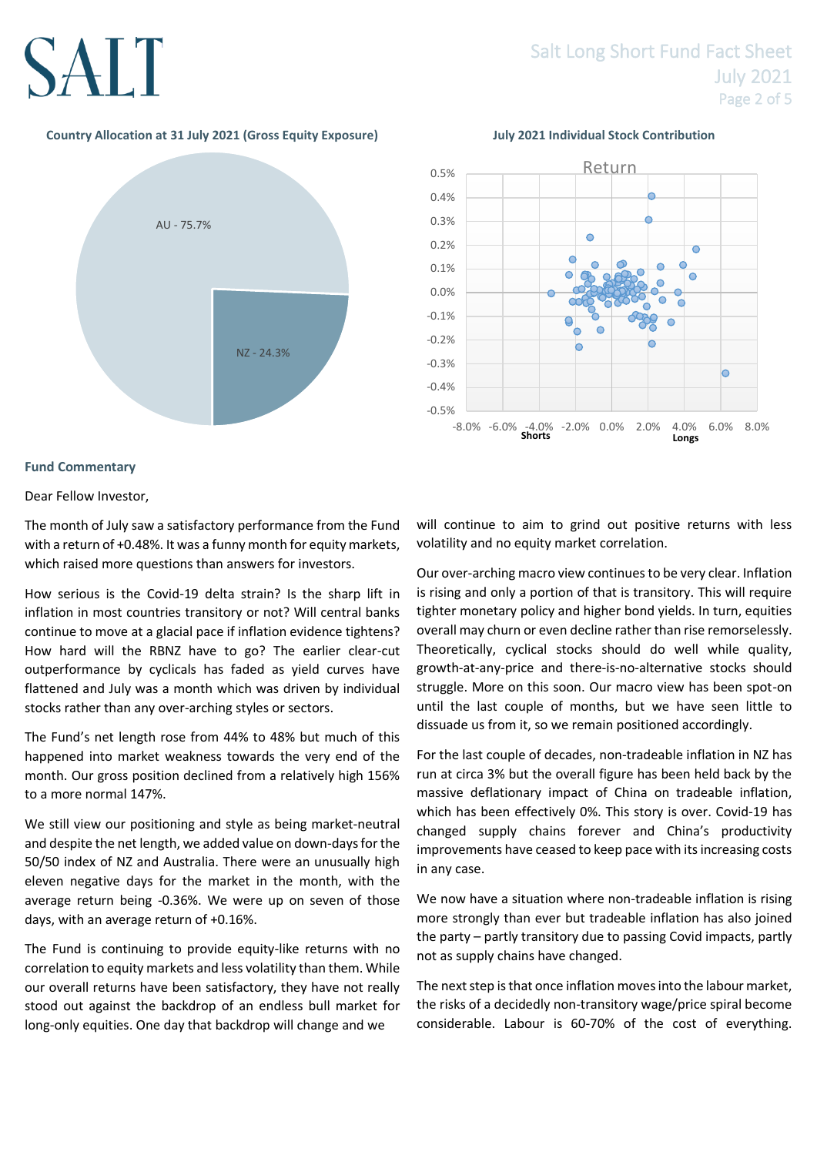## Salt Long Short Fund Fact Sheet July 2021 Page 2 of 5

## **Country Allocation at 31 July 2021 (Gross Equity Exposure) July 2021 Individual Stock Contribution**





## **Fund Commentary**

Dear Fellow Investor,

The month of July saw a satisfactory performance from the Fund with a return of +0.48%. It was a funny month for equity markets, which raised more questions than answers for investors.

How serious is the Covid-19 delta strain? Is the sharp lift in inflation in most countries transitory or not? Will central banks continue to move at a glacial pace if inflation evidence tightens? How hard will the RBNZ have to go? The earlier clear-cut outperformance by cyclicals has faded as yield curves have flattened and July was a month which was driven by individual stocks rather than any over-arching styles or sectors.

The Fund's net length rose from 44% to 48% but much of this happened into market weakness towards the very end of the month. Our gross position declined from a relatively high 156% to a more normal 147%.

We still view our positioning and style as being market-neutral and despite the net length, we added value on down-days for the 50/50 index of NZ and Australia. There were an unusually high eleven negative days for the market in the month, with the average return being -0.36%. We were up on seven of those days, with an average return of +0.16%.

The Fund is continuing to provide equity-like returns with no correlation to equity markets and less volatility than them. While our overall returns have been satisfactory, they have not really stood out against the backdrop of an endless bull market for long-only equities. One day that backdrop will change and we

will continue to aim to grind out positive returns with less volatility and no equity market correlation.

Our over-arching macro view continues to be very clear. Inflation is rising and only a portion of that is transitory. This will require tighter monetary policy and higher bond yields. In turn, equities overall may churn or even decline rather than rise remorselessly. Theoretically, cyclical stocks should do well while quality, growth-at-any-price and there-is-no-alternative stocks should struggle. More on this soon. Our macro view has been spot-on until the last couple of months, but we have seen little to dissuade us from it, so we remain positioned accordingly.

For the last couple of decades, non-tradeable inflation in NZ has run at circa 3% but the overall figure has been held back by the massive deflationary impact of China on tradeable inflation, which has been effectively 0%. This story is over. Covid-19 has changed supply chains forever and China's productivity improvements have ceased to keep pace with its increasing costs in any case.

We now have a situation where non-tradeable inflation is rising more strongly than ever but tradeable inflation has also joined the party – partly transitory due to passing Covid impacts, partly not as supply chains have changed.

The next step is that once inflation moves into the labour market, the risks of a decidedly non-transitory wage/price spiral become considerable. Labour is 60-70% of the cost of everything.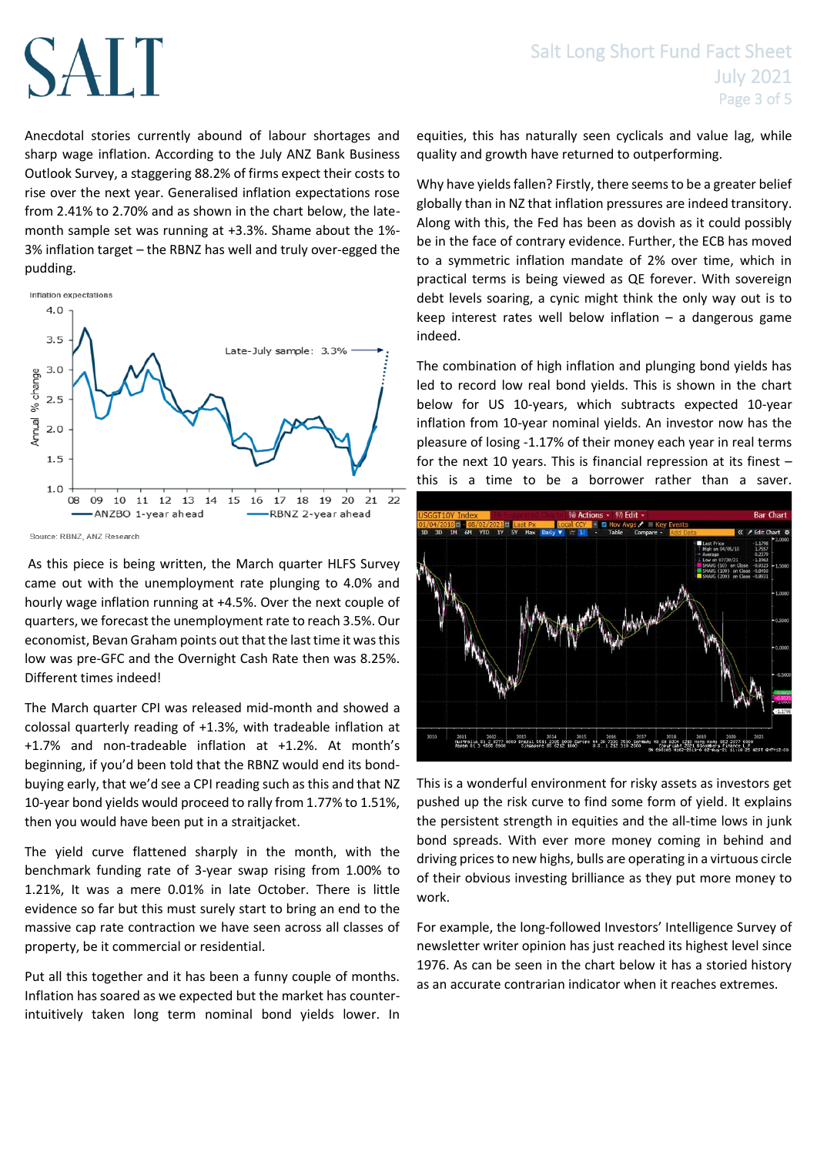Anecdotal stories currently abound of labour shortages and sharp wage inflation. According to the July ANZ Bank Business Outlook Survey, a staggering 88.2% of firms expect their costs to rise over the next year. Generalised inflation expectations rose from 2.41% to 2.70% and as shown in the chart below, the latemonth sample set was running at +3.3%. Shame about the 1%- 3% inflation target – the RBNZ has well and truly over-egged the pudding.



As this piece is being written, the March quarter HLFS Survey came out with the unemployment rate plunging to 4.0% and hourly wage inflation running at +4.5%. Over the next couple of quarters, we forecast the unemployment rate to reach 3.5%. Our economist, Bevan Graham points out that the last time it was this low was pre-GFC and the Overnight Cash Rate then was 8.25%. Different times indeed!

The March quarter CPI was released mid-month and showed a colossal quarterly reading of +1.3%, with tradeable inflation at +1.7% and non-tradeable inflation at +1.2%. At month's beginning, if you'd been told that the RBNZ would end its bondbuying early, that we'd see a CPI reading such as this and that NZ 10-year bond yields would proceed to rally from 1.77% to 1.51%, then you would have been put in a straitjacket.

The yield curve flattened sharply in the month, with the benchmark funding rate of 3-year swap rising from 1.00% to 1.21%, It was a mere 0.01% in late October. There is little evidence so far but this must surely start to bring an end to the massive cap rate contraction we have seen across all classes of property, be it commercial or residential.

Put all this together and it has been a funny couple of months. Inflation has soared as we expected but the market has counterintuitively taken long term nominal bond yields lower. In equities, this has naturally seen cyclicals and value lag, while quality and growth have returned to outperforming.

Why have yields fallen? Firstly, there seems to be a greater belief globally than in NZ that inflation pressures are indeed transitory. Along with this, the Fed has been as dovish as it could possibly be in the face of contrary evidence. Further, the ECB has moved to a symmetric inflation mandate of 2% over time, which in practical terms is being viewed as QE forever. With sovereign debt levels soaring, a cynic might think the only way out is to keep interest rates well below inflation  $-$  a dangerous game indeed.

The combination of high inflation and plunging bond yields has led to record low real bond yields. This is shown in the chart below for US 10-years, which subtracts expected 10-year inflation from 10-year nominal yields. An investor now has the pleasure of losing -1.17% of their money each year in real terms for the next 10 years. This is financial repression at its finest – this is a time to be a borrower rather than a saver.



This is a wonderful environment for risky assets as investors get pushed up the risk curve to find some form of yield. It explains the persistent strength in equities and the all-time lows in junk bond spreads. With ever more money coming in behind and driving prices to new highs, bulls are operating in a virtuous circle of their obvious investing brilliance as they put more money to work.

For example, the long-followed Investors' Intelligence Survey of newsletter writer opinion has just reached its highest level since 1976. As can be seen in the chart below it has a storied history as an accurate contrarian indicator when it reaches extremes.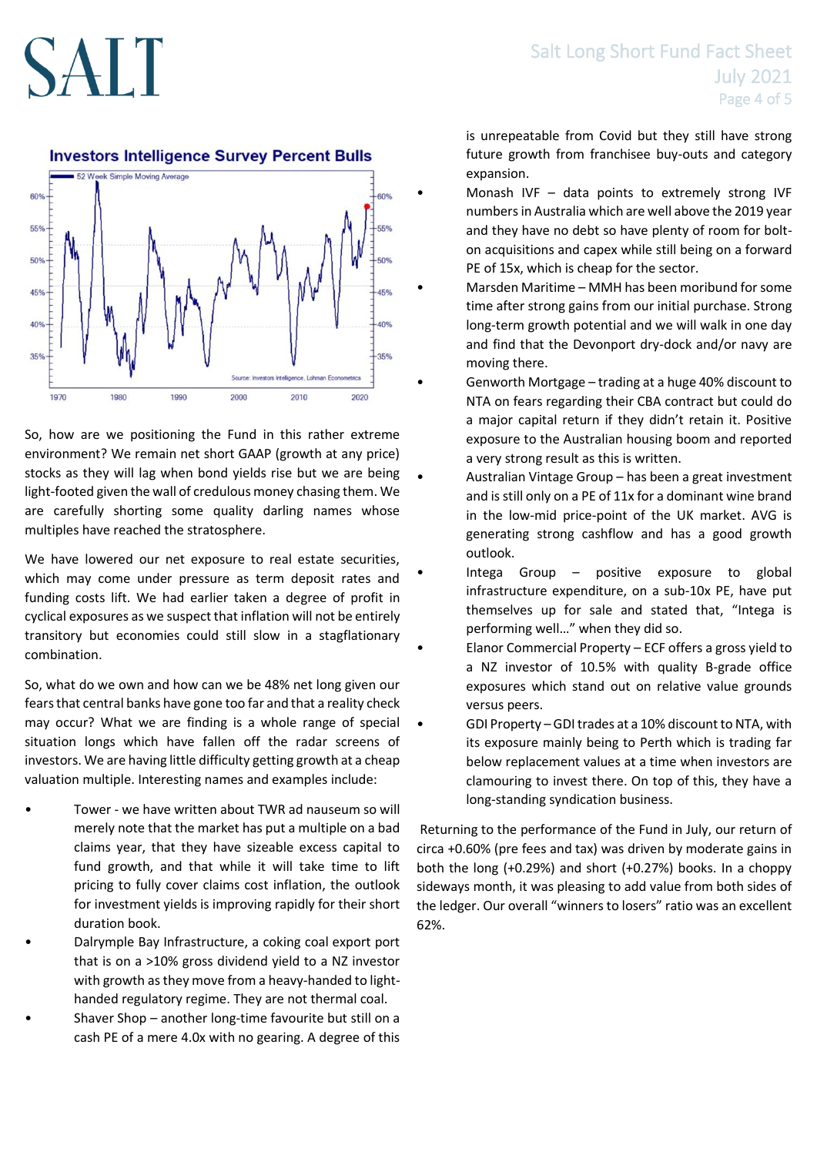

So, how are we positioning the Fund in this rather extreme environment? We remain net short GAAP (growth at any price) stocks as they will lag when bond yields rise but we are being light-footed given the wall of credulous money chasing them. We are carefully shorting some quality darling names whose multiples have reached the stratosphere.

We have lowered our net exposure to real estate securities, which may come under pressure as term deposit rates and funding costs lift. We had earlier taken a degree of profit in cyclical exposures as we suspect that inflation will not be entirely transitory but economies could still slow in a stagflationary combination.

So, what do we own and how can we be 48% net long given our fears that central banks have gone too far and that a reality check may occur? What we are finding is a whole range of special situation longs which have fallen off the radar screens of investors. We are having little difficulty getting growth at a cheap valuation multiple. Interesting names and examples include:

- Tower we have written about TWR ad nauseum so will merely note that the market has put a multiple on a bad claims year, that they have sizeable excess capital to fund growth, and that while it will take time to lift pricing to fully cover claims cost inflation, the outlook for investment yields is improving rapidly for their short duration book.
- Dalrymple Bay Infrastructure, a coking coal export port that is on a >10% gross dividend yield to a NZ investor with growth as they move from a heavy-handed to lighthanded regulatory regime. They are not thermal coal.
- Shaver Shop another long-time favourite but still on a cash PE of a mere 4.0x with no gearing. A degree of this

## Salt Long Short Fund Fact Sheet July 2021 Page 4 of 5

is unrepeatable from Covid but they still have strong future growth from franchisee buy-outs and category expansion.

- Monash IVF  $-$  data points to extremely strong IVF numbers in Australia which are well above the 2019 year and they have no debt so have plenty of room for bolton acquisitions and capex while still being on a forward PE of 15x, which is cheap for the sector.
- Marsden Maritime MMH has been moribund for some time after strong gains from our initial purchase. Strong long-term growth potential and we will walk in one day and find that the Devonport dry-dock and/or navy are moving there.
	- Genworth Mortgage trading at a huge 40% discount to NTA on fears regarding their CBA contract but could do a major capital return if they didn't retain it. Positive exposure to the Australian housing boom and reported a very strong result as this is written.
- Australian Vintage Group has been a great investment and is still only on a PE of 11x for a dominant wine brand in the low-mid price-point of the UK market. AVG is generating strong cashflow and has a good growth outlook.
- Intega Group  $-$  positive exposure to global infrastructure expenditure, on a sub-10x PE, have put themselves up for sale and stated that, "Intega is performing well…" when they did so.
- Elanor Commercial Property ECF offers a gross yield to a NZ investor of 10.5% with quality B-grade office exposures which stand out on relative value grounds versus peers.
- GDI Property GDI trades at a 10% discount to NTA, with its exposure mainly being to Perth which is trading far below replacement values at a time when investors are clamouring to invest there. On top of this, they have a long-standing syndication business.

Returning to the performance of the Fund in July, our return of circa +0.60% (pre fees and tax) was driven by moderate gains in both the long (+0.29%) and short (+0.27%) books. In a choppy sideways month, it was pleasing to add value from both sides of the ledger. Our overall "winners to losers" ratio was an excellent 62%.